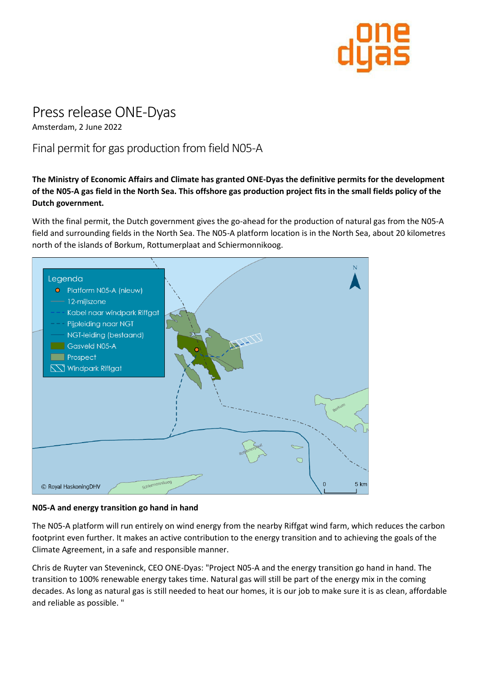

# Press release ONE-Dyas

Amsterdam, 2 June 2022

## Final permit for gas production from field N05-A

**The Ministry of Economic Affairs and Climate has granted ONE-Dyas the definitive permits for the development of the N05-A gas field in the North Sea. This offshore gas production project fits in the small fields policy of the Dutch government.** 

With the final permit, the Dutch government gives the go-ahead for the production of natural gas from the N05-A field and surrounding fields in the North Sea. The N05-A platform location is in the North Sea, about 20 kilometres north of the islands of Borkum, Rottumerplaat and Schiermonnikoog.



## **N05-A and energy transition go hand in hand**

The N05-A platform will run entirely on wind energy from the nearby Riffgat wind farm, which reduces the carbon footprint even further. It makes an active contribution to the energy transition and to achieving the goals of the Climate Agreement, in a safe and responsible manner.

Chris de Ruyter van Steveninck, CEO ONE-Dyas: "Project N05-A and the energy transition go hand in hand. The transition to 100% renewable energy takes time. Natural gas will still be part of the energy mix in the coming decades. As long as natural gas is still needed to heat our homes, it is our job to make sure it is as clean, affordable and reliable as possible. "